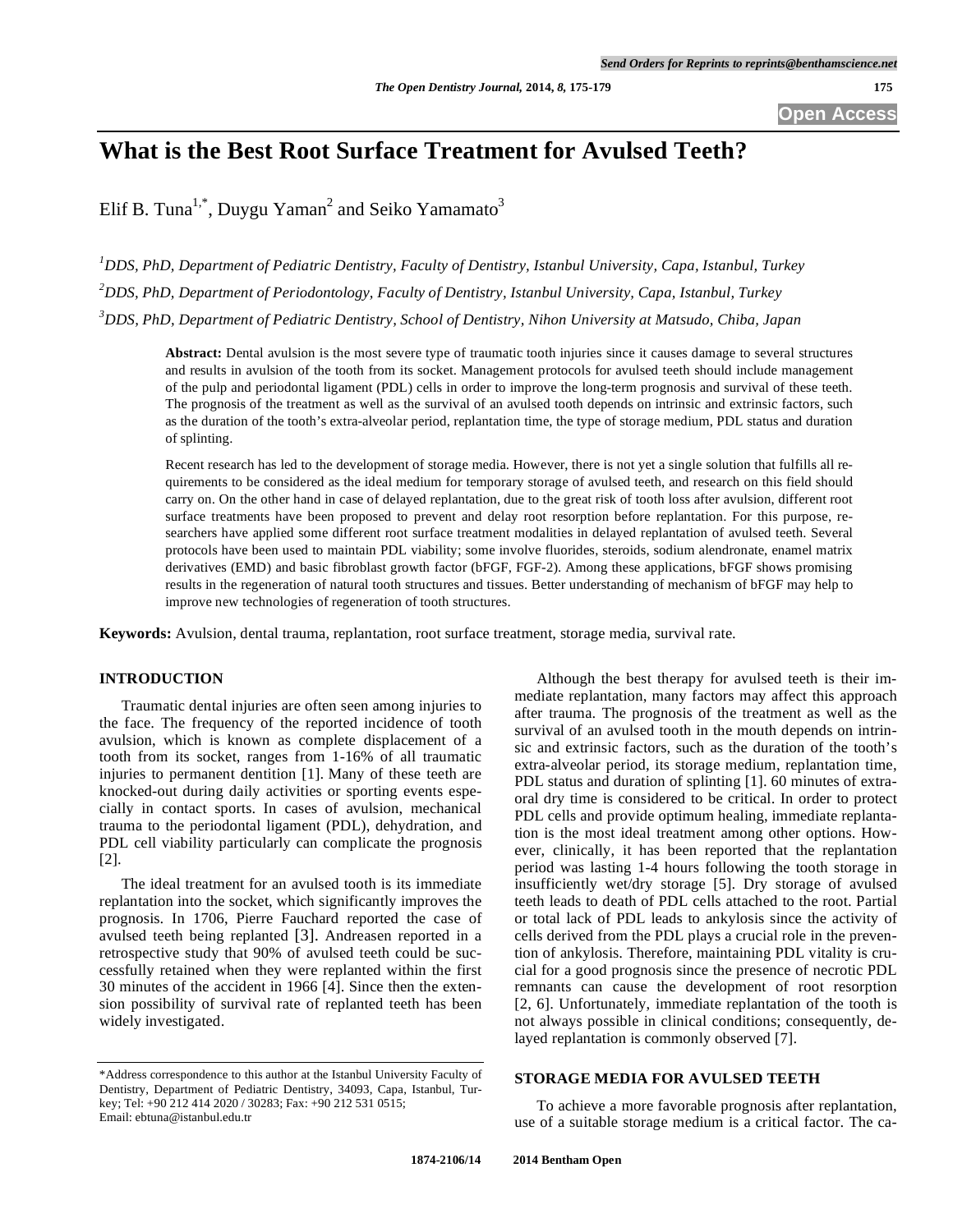# **What is the Best Root Surface Treatment for Avulsed Teeth?**

Elif B. Tuna<sup>1,\*</sup>, Duygu Yaman<sup>2</sup> and Seiko Yamamato<sup>3</sup>

*1 DDS, PhD, Department of Pediatric Dentistry, Faculty of Dentistry, Istanbul University, Capa, Istanbul, Turkey 2 DDS, PhD, Department of Periodontology, Faculty of Dentistry, Istanbul University, Capa, Istanbul, Turkey 3 DDS, PhD, Department of Pediatric Dentistry, School of Dentistry, Nihon University at Matsudo, Chiba, Japan* 

**Abstract:** Dental avulsion is the most severe type of traumatic tooth injuries since it causes damage to several structures and results in avulsion of the tooth from its socket. Management protocols for avulsed teeth should include management of the pulp and periodontal ligament (PDL) cells in order to improve the long-term prognosis and survival of these teeth. The prognosis of the treatment as well as the survival of an avulsed tooth depends on intrinsic and extrinsic factors, such as the duration of the tooth's extra-alveolar period, replantation time, the type of storage medium, PDL status and duration of splinting.

Recent research has led to the development of storage media. However, there is not yet a single solution that fulfills all requirements to be considered as the ideal medium for temporary storage of avulsed teeth, and research on this field should carry on. On the other hand in case of delayed replantation, due to the great risk of tooth loss after avulsion, different root surface treatments have been proposed to prevent and delay root resorption before replantation. For this purpose, researchers have applied some different root surface treatment modalities in delayed replantation of avulsed teeth. Several protocols have been used to maintain PDL viability; some involve fluorides, steroids, sodium alendronate, enamel matrix derivatives (EMD) and basic fibroblast growth factor (bFGF, FGF-2). Among these applications, bFGF shows promising results in the regeneration of natural tooth structures and tissues. Better understanding of mechanism of bFGF may help to improve new technologies of regeneration of tooth structures.

**Keywords:** Avulsion, dental trauma, replantation, root surface treatment, storage media, survival rate.

# **INTRODUCTION**

Traumatic dental injuries are often seen among injuries to the face. The frequency of the reported incidence of tooth avulsion, which is known as complete displacement of a tooth from its socket, ranges from 1-16% of all traumatic injuries to permanent dentition [1]. Many of these teeth are knocked-out during daily activities or sporting events especially in contact sports. In cases of avulsion, mechanical trauma to the periodontal ligament (PDL), dehydration, and PDL cell viability particularly can complicate the prognosis [2].

The ideal treatment for an avulsed tooth is its immediate replantation into the socket, which significantly improves the prognosis. In 1706, Pierre Fauchard reported the case of avulsed teeth being replanted [3]. Andreasen reported in a retrospective study that 90% of avulsed teeth could be successfully retained when they were replanted within the first 30 minutes of the accident in 1966 [4]. Since then the extension possibility of survival rate of replanted teeth has been widely investigated.

Although the best therapy for avulsed teeth is their immediate replantation, many factors may affect this approach after trauma. The prognosis of the treatment as well as the survival of an avulsed tooth in the mouth depends on intrinsic and extrinsic factors, such as the duration of the tooth's extra-alveolar period, its storage medium, replantation time, PDL status and duration of splinting [1]. 60 minutes of extraoral dry time is considered to be critical. In order to protect PDL cells and provide optimum healing, immediate replantation is the most ideal treatment among other options. However, clinically, it has been reported that the replantation period was lasting 1-4 hours following the tooth storage in insufficiently wet/dry storage [5]. Dry storage of avulsed teeth leads to death of PDL cells attached to the root. Partial or total lack of PDL leads to ankylosis since the activity of cells derived from the PDL plays a crucial role in the prevention of ankylosis. Therefore, maintaining PDL vitality is crucial for a good prognosis since the presence of necrotic PDL remnants can cause the development of root resorption [2, 6]. Unfortunately, immediate replantation of the tooth is not always possible in clinical conditions; consequently, delayed replantation is commonly observed [7].

# **STORAGE MEDIA FOR AVULSED TEETH**

To achieve a more favorable prognosis after replantation, use of a suitable storage medium is a critical factor. The ca-

<sup>\*</sup>Address correspondence to this author at the Istanbul University Faculty of Dentistry, Department of Pediatric Dentistry, 34093, Capa, Istanbul, Turkey; Tel: +90 212 414 2020 / 30283; Fax: +90 212 531 0515; Email: ebtuna@istanbul.edu.tr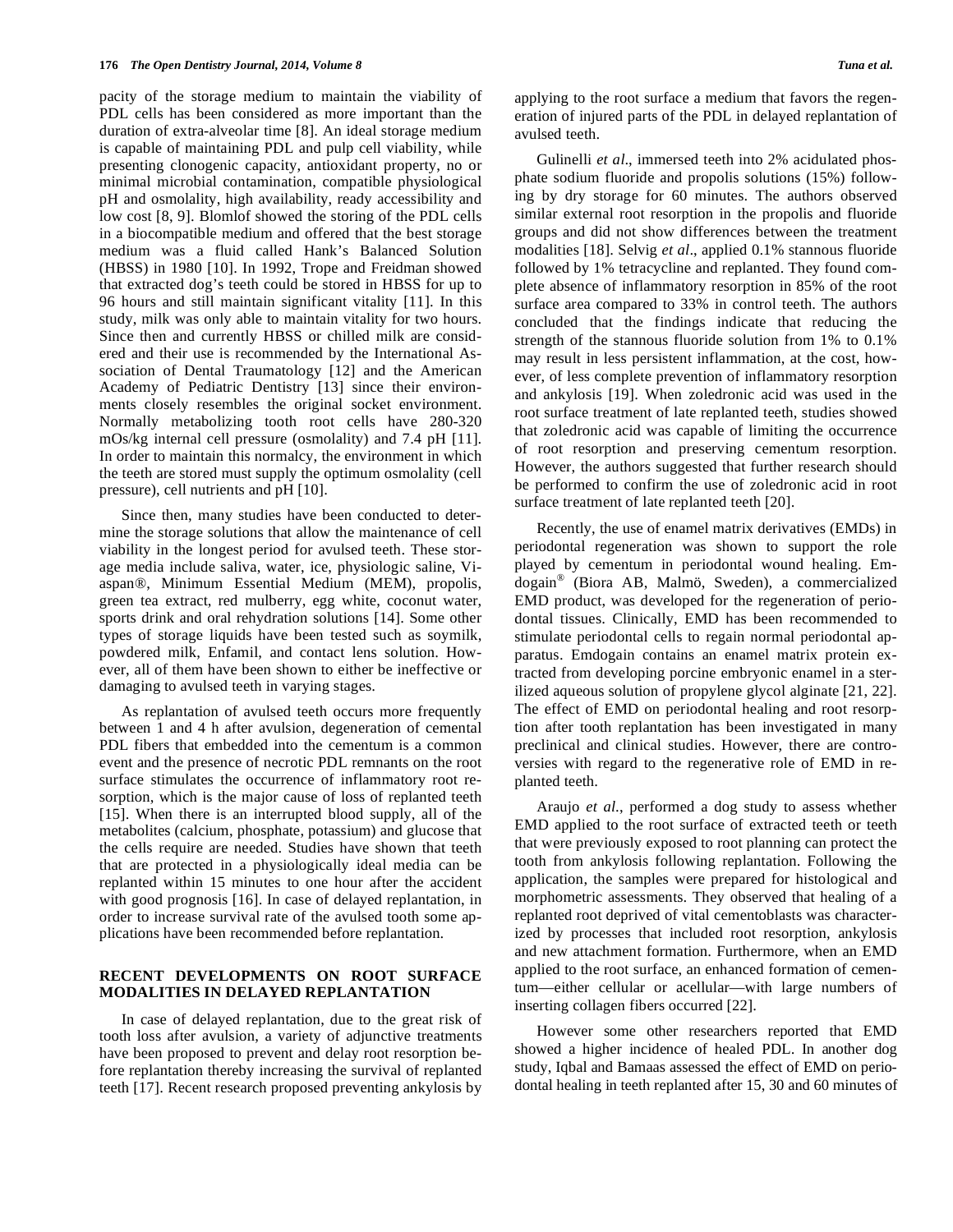pacity of the storage medium to maintain the viability of PDL cells has been considered as more important than the duration of extra-alveolar time [8]. An ideal storage medium is capable of maintaining PDL and pulp cell viability, while presenting clonogenic capacity, antioxidant property, no or minimal microbial contamination, compatible physiological pH and osmolality, high availability, ready accessibility and low cost [8, 9]. Blomlof showed the storing of the PDL cells in a biocompatible medium and offered that the best storage medium was a fluid called Hank's Balanced Solution (HBSS) in 1980 [10]. In 1992, Trope and Freidman showed that extracted dog's teeth could be stored in HBSS for up to 96 hours and still maintain significant vitality [11]. In this study, milk was only able to maintain vitality for two hours. Since then and currently HBSS or chilled milk are considered and their use is recommended by the International Association of Dental Traumatology [12] and the American Academy of Pediatric Dentistry [13] since their environments closely resembles the original socket environment. Normally metabolizing tooth root cells have 280-320 mOs/kg internal cell pressure (osmolality) and 7.4 pH [11]. In order to maintain this normalcy, the environment in which the teeth are stored must supply the optimum osmolality (cell pressure), cell nutrients and pH [10].

Since then, many studies have been conducted to determine the storage solutions that allow the maintenance of cell viability in the longest period for avulsed teeth. These storage media include saliva, water, ice, physiologic saline, Viaspan®, Minimum Essential Medium (MEM), propolis, green tea extract, red mulberry, egg white, coconut water, sports drink and oral rehydration solutions [14]. Some other types of storage liquids have been tested such as soymilk, powdered milk, Enfamil, and contact lens solution. However, all of them have been shown to either be ineffective or damaging to avulsed teeth in varying stages.

As replantation of avulsed teeth occurs more frequently between 1 and 4 h after avulsion, degeneration of cemental PDL fibers that embedded into the cementum is a common event and the presence of necrotic PDL remnants on the root surface stimulates the occurrence of inflammatory root resorption, which is the major cause of loss of replanted teeth [15]. When there is an interrupted blood supply, all of the metabolites (calcium, phosphate, potassium) and glucose that the cells require are needed. Studies have shown that teeth that are protected in a physiologically ideal media can be replanted within 15 minutes to one hour after the accident with good prognosis [16]. In case of delayed replantation, in order to increase survival rate of the avulsed tooth some applications have been recommended before replantation.

# **RECENT DEVELOPMENTS ON ROOT SURFACE MODALITIES IN DELAYED REPLANTATION**

In case of delayed replantation, due to the great risk of tooth loss after avulsion, a variety of adjunctive treatments have been proposed to prevent and delay root resorption before replantation thereby increasing the survival of replanted teeth [17]. Recent research proposed preventing ankylosis by applying to the root surface a medium that favors the regeneration of injured parts of the PDL in delayed replantation of avulsed teeth.

Gulinelli *et al*., immersed teeth into 2% acidulated phosphate sodium fluoride and propolis solutions (15%) following by dry storage for 60 minutes. The authors observed similar external root resorption in the propolis and fluoride groups and did not show differences between the treatment modalities [18]. Selvig *et al*., applied 0.1% stannous fluoride followed by 1% tetracycline and replanted. They found complete absence of inflammatory resorption in 85% of the root surface area compared to 33% in control teeth. The authors concluded that the findings indicate that reducing the strength of the stannous fluoride solution from 1% to 0.1% may result in less persistent inflammation, at the cost, however, of less complete prevention of inflammatory resorption and ankylosis [19]. When zoledronic acid was used in the root surface treatment of late replanted teeth, studies showed that zoledronic acid was capable of limiting the occurrence of root resorption and preserving cementum resorption. However, the authors suggested that further research should be performed to confirm the use of zoledronic acid in root surface treatment of late replanted teeth [20].

Recently, the use of enamel matrix derivatives (EMDs) in periodontal regeneration was shown to support the role played by cementum in periodontal wound healing. Emdogain® (Biora AB, Malmö, Sweden), a commercialized EMD product, was developed for the regeneration of periodontal tissues. Clinically, EMD has been recommended to stimulate periodontal cells to regain normal periodontal apparatus. Emdogain contains an enamel matrix protein extracted from developing porcine embryonic enamel in a sterilized aqueous solution of propylene glycol alginate [21, 22]. The effect of EMD on periodontal healing and root resorption after tooth replantation has been investigated in many preclinical and clinical studies. However, there are controversies with regard to the regenerative role of EMD in replanted teeth.

Araujo *et al*., performed a dog study to assess whether EMD applied to the root surface of extracted teeth or teeth that were previously exposed to root planning can protect the tooth from ankylosis following replantation. Following the application, the samples were prepared for histological and morphometric assessments. They observed that healing of a replanted root deprived of vital cementoblasts was characterized by processes that included root resorption, ankylosis and new attachment formation. Furthermore, when an EMD applied to the root surface, an enhanced formation of cementum—either cellular or acellular—with large numbers of inserting collagen fibers occurred [22].

However some other researchers reported that EMD showed a higher incidence of healed PDL. In another dog study, Iqbal and Bamaas assessed the effect of EMD on periodontal healing in teeth replanted after 15, 30 and 60 minutes of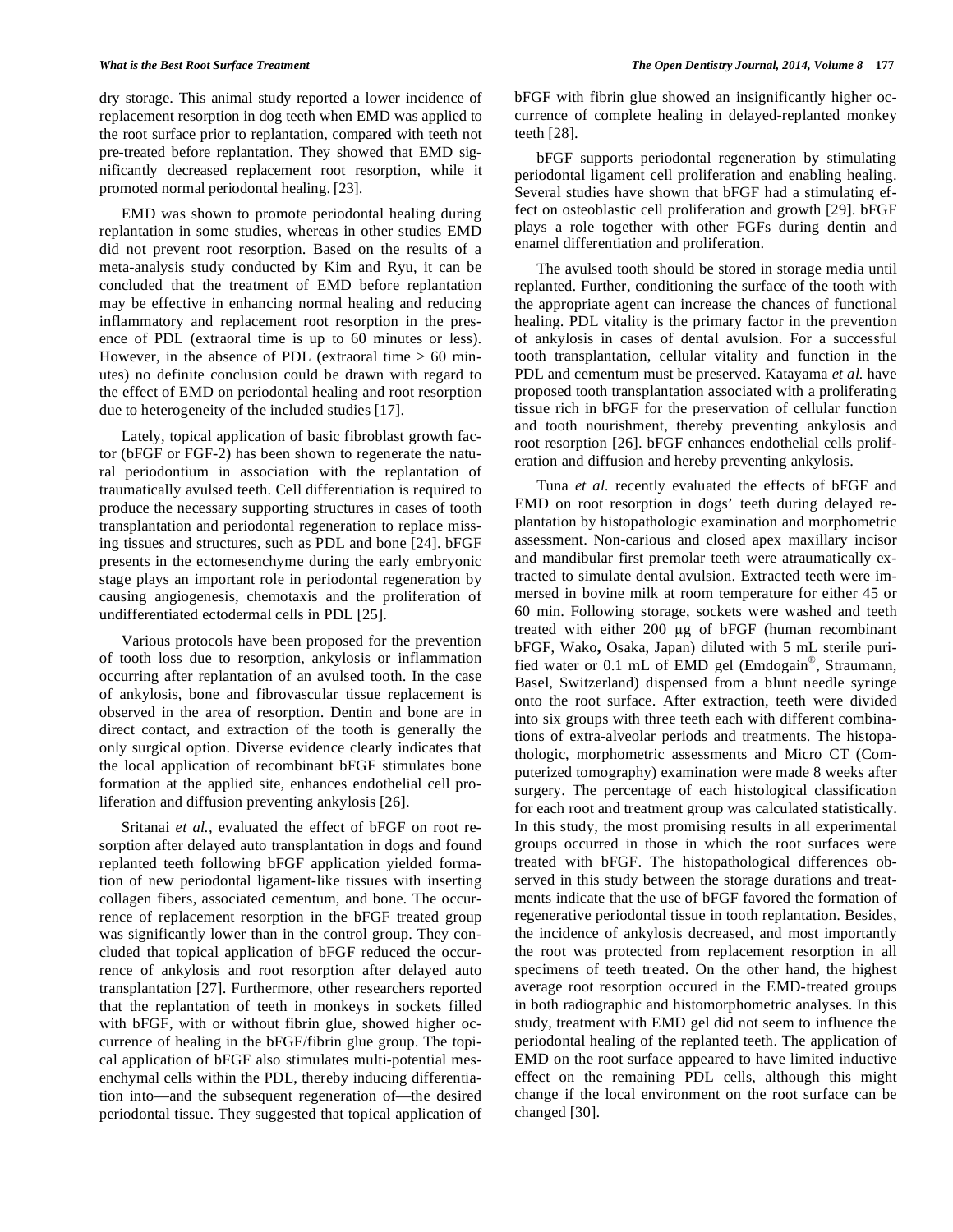dry storage. This animal study reported a lower incidence of replacement resorption in dog teeth when EMD was applied to the root surface prior to replantation, compared with teeth not pre-treated before replantation. They showed that EMD significantly decreased replacement root resorption, while it promoted normal periodontal healing. [23].

EMD was shown to promote periodontal healing during replantation in some studies, whereas in other studies EMD did not prevent root resorption. Based on the results of a meta-analysis study conducted by Kim and Ryu, it can be concluded that the treatment of EMD before replantation may be effective in enhancing normal healing and reducing inflammatory and replacement root resorption in the presence of PDL (extraoral time is up to 60 minutes or less). However, in the absence of PDL (extraoral time  $> 60$  minutes) no definite conclusion could be drawn with regard to the effect of EMD on periodontal healing and root resorption due to heterogeneity of the included studies [17].

Lately, topical application of basic fibroblast growth factor (bFGF or FGF-2) has been shown to regenerate the natural periodontium in association with the replantation of traumatically avulsed teeth. Cell differentiation is required to produce the necessary supporting structures in cases of tooth transplantation and periodontal regeneration to replace missing tissues and structures, such as PDL and bone [24]. bFGF presents in the ectomesenchyme during the early embryonic stage plays an important role in periodontal regeneration by causing angiogenesis, chemotaxis and the proliferation of undifferentiated ectodermal cells in PDL [25].

Various protocols have been proposed for the prevention of tooth loss due to resorption, ankylosis or inflammation occurring after replantation of an avulsed tooth. In the case of ankylosis, bone and fibrovascular tissue replacement is observed in the area of resorption. Dentin and bone are in direct contact, and extraction of the tooth is generally the only surgical option. Diverse evidence clearly indicates that the local application of recombinant bFGF stimulates bone formation at the applied site, enhances endothelial cell proliferation and diffusion preventing ankylosis [26].

Sritanai *et al.,* evaluated the effect of bFGF on root resorption after delayed auto transplantation in dogs and found replanted teeth following bFGF application yielded formation of new periodontal ligament-like tissues with inserting collagen fibers, associated cementum, and bone. The occurrence of replacement resorption in the bFGF treated group was significantly lower than in the control group. They concluded that topical application of bFGF reduced the occurrence of ankylosis and root resorption after delayed auto transplantation [27]. Furthermore, other researchers reported that the replantation of teeth in monkeys in sockets filled with bFGF, with or without fibrin glue, showed higher occurrence of healing in the bFGF/fibrin glue group. The topical application of bFGF also stimulates multi-potential mesenchymal cells within the PDL, thereby inducing differentiation into—and the subsequent regeneration of—the desired periodontal tissue. They suggested that topical application of bFGF with fibrin glue showed an insignificantly higher occurrence of complete healing in delayed-replanted monkey teeth [28].

bFGF supports periodontal regeneration by stimulating periodontal ligament cell proliferation and enabling healing. Several studies have shown that bFGF had a stimulating effect on osteoblastic cell proliferation and growth [29]. bFGF plays a role together with other FGFs during dentin and enamel differentiation and proliferation.

The avulsed tooth should be stored in storage media until replanted. Further, conditioning the surface of the tooth with the appropriate agent can increase the chances of functional healing. PDL vitality is the primary factor in the prevention of ankylosis in cases of dental avulsion. For a successful tooth transplantation, cellular vitality and function in the PDL and cementum must be preserved. Katayama *et al.* have proposed tooth transplantation associated with a proliferating tissue rich in bFGF for the preservation of cellular function and tooth nourishment, thereby preventing ankylosis and root resorption [26]. bFGF enhances endothelial cells proliferation and diffusion and hereby preventing ankylosis.

Tuna *et al.* recently evaluated the effects of bFGF and EMD on root resorption in dogs' teeth during delayed replantation by histopathologic examination and morphometric assessment. Non-carious and closed apex maxillary incisor and mandibular first premolar teeth were atraumatically extracted to simulate dental avulsion. Extracted teeth were immersed in bovine milk at room temperature for either 45 or 60 min. Following storage, sockets were washed and teeth treated with either  $200 \mu g$  of bFGF (human recombinant bFGF, Wako**,** Osaka, Japan) diluted with 5 mL sterile purified water or 0.1 mL of EMD gel (Emdogain®, Straumann, Basel, Switzerland) dispensed from a blunt needle syringe onto the root surface. After extraction, teeth were divided into six groups with three teeth each with different combinations of extra-alveolar periods and treatments. The histopathologic, morphometric assessments and Micro CT (Computerized tomography) examination were made 8 weeks after surgery. The percentage of each histological classification for each root and treatment group was calculated statistically. In this study, the most promising results in all experimental groups occurred in those in which the root surfaces were treated with bFGF. The histopathological differences observed in this study between the storage durations and treatments indicate that the use of bFGF favored the formation of regenerative periodontal tissue in tooth replantation. Besides, the incidence of ankylosis decreased, and most importantly the root was protected from replacement resorption in all specimens of teeth treated. On the other hand, the highest average root resorption occured in the EMD-treated groups in both radiographic and histomorphometric analyses. In this study, treatment with EMD gel did not seem to influence the periodontal healing of the replanted teeth. The application of EMD on the root surface appeared to have limited inductive effect on the remaining PDL cells, although this might change if the local environment on the root surface can be changed [30].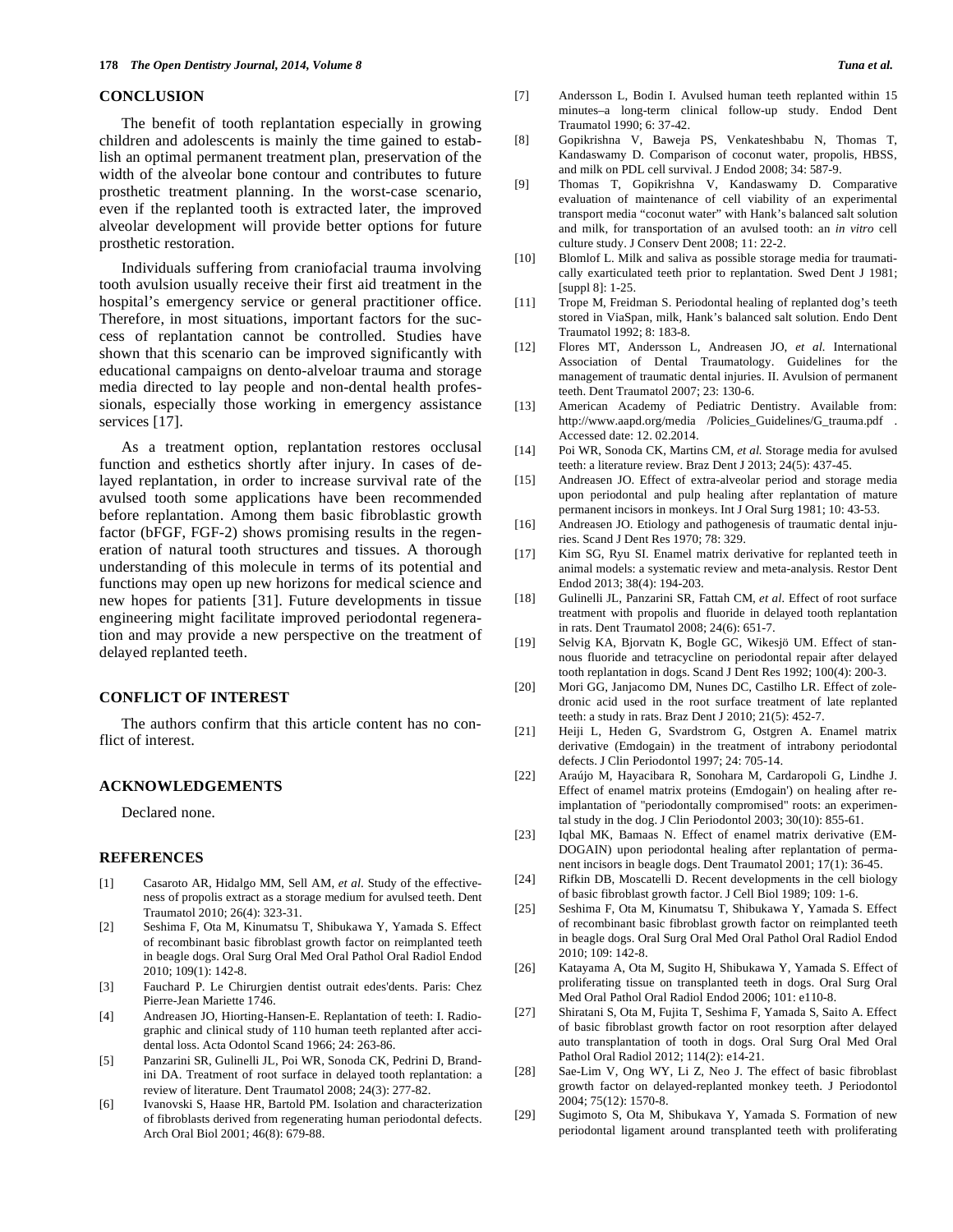## **CONCLUSION**

The benefit of tooth replantation especially in growing children and adolescents is mainly the time gained to establish an optimal permanent treatment plan, preservation of the width of the alveolar bone contour and contributes to future prosthetic treatment planning. In the worst-case scenario, even if the replanted tooth is extracted later, the improved alveolar development will provide better options for future prosthetic restoration.

Individuals suffering from craniofacial trauma involving tooth avulsion usually receive their first aid treatment in the hospital's emergency service or general practitioner office. Therefore, in most situations, important factors for the success of replantation cannot be controlled. Studies have shown that this scenario can be improved significantly with educational campaigns on dento-alveloar trauma and storage media directed to lay people and non-dental health professionals, especially those working in emergency assistance services [17].

As a treatment option, replantation restores occlusal function and esthetics shortly after injury. In cases of delayed replantation, in order to increase survival rate of the avulsed tooth some applications have been recommended before replantation. Among them basic fibroblastic growth factor (bFGF, FGF-2) shows promising results in the regeneration of natural tooth structures and tissues. A thorough understanding of this molecule in terms of its potential and functions may open up new horizons for medical science and new hopes for patients [31]. Future developments in tissue engineering might facilitate improved periodontal regeneration and may provide a new perspective on the treatment of delayed replanted teeth.

### **CONFLICT OF INTEREST**

The authors confirm that this article content has no conflict of interest.

## **ACKNOWLEDGEMENTS**

Declared none.

#### **REFERENCES**

- [1] Casaroto AR, Hidalgo MM, Sell AM, *et al*. Study of the effectiveness of propolis extract as a storage medium for avulsed teeth. Dent Traumatol 2010; 26(4): 323-31.
- [2] Seshima F, Ota M, Kinumatsu T, Shibukawa Y, Yamada S. Effect of recombinant basic fibroblast growth factor on reimplanted teeth in beagle dogs. Oral Surg Oral Med Oral Pathol Oral Radiol Endod 2010; 109(1): 142-8.
- [3] Fauchard P. Le Chirurgien dentist outrait edes'dents. Paris: Chez Pierre-Jean Mariette 1746.
- [4] Andreasen JO, Hiorting-Hansen-E. Replantation of teeth: I. Radiographic and clinical study of 110 human teeth replanted after accidental loss. Acta Odontol Scand 1966; 24: 263-86.
- [5] Panzarini SR, Gulinelli JL, Poi WR, Sonoda CK, Pedrini D, Brandini DA. Treatment of root surface in delayed tooth replantation: a review of literature. Dent Traumatol 2008; 24(3): 277-82.
- [6] Ivanovski S, Haase HR, Bartold PM. Isolation and characterization of fibroblasts derived from regenerating human periodontal defects. Arch Oral Biol 2001; 46(8): 679-88.
- [7] Andersson L, Bodin I. Avulsed human teeth replanted within 15 minutes–a long-term clinical follow-up study. Endod Dent Traumatol 1990; 6: 37-42.
- [8] Gopikrishna V, Baweja PS, Venkateshbabu N, Thomas T, Kandaswamy D. Comparison of coconut water, propolis, HBSS, and milk on PDL cell survival. J Endod 2008; 34: 587-9.
- [9] Thomas T, Gopikrishna V, Kandaswamy D. Comparative evaluation of maintenance of cell viability of an experimental transport media "coconut water" with Hank's balanced salt solution and milk, for transportation of an avulsed tooth: an *in vitro* cell culture study. J Conserv Dent 2008; 11: 22-2.
- [10] Blomlof L. Milk and saliva as possible storage media for traumatically exarticulated teeth prior to replantation. Swed Dent J 1981; [suppl 8]: 1-25.
- [11] Trope M, Freidman S. Periodontal healing of replanted dog's teeth stored in ViaSpan, milk, Hank's balanced salt solution. Endo Dent Traumatol 1992; 8: 183-8.
- [12] Flores MT, Andersson L, Andreasen JO, *et al.* International Association of Dental Traumatology. Guidelines for the management of traumatic dental injuries. II. Avulsion of permanent teeth. Dent Traumatol 2007; 23: 130-6.
- [13] American Academy of Pediatric Dentistry. Available from: http://www.aapd.org/media /Policies\_Guidelines/G\_trauma.pdf . Accessed date: 12. 02.2014.
- [14] Poi WR, Sonoda CK, Martins CM, *et al.* Storage media for avulsed teeth: a literature review. Braz Dent J 2013; 24(5): 437-45.
- [15] Andreasen JO. Effect of extra-alveolar period and storage media upon periodontal and pulp healing after replantation of mature permanent incisors in monkeys. Int J Oral Surg 1981; 10: 43-53.
- [16] Andreasen JO. Etiology and pathogenesis of traumatic dental injuries. Scand J Dent Res 1970; 78: 329.
- [17] Kim SG, Ryu SI. Enamel matrix derivative for replanted teeth in animal models: a systematic review and meta-analysis. Restor Dent Endod 2013; 38(4): 194-203.
- [18] Gulinelli JL, Panzarini SR, Fattah CM, *et al.* Effect of root surface treatment with propolis and fluoride in delayed tooth replantation in rats. Dent Traumatol 2008; 24(6): 651-7.
- [19] Selvig KA, Bjorvatn K, Bogle GC, Wikesjö UM. Effect of stannous fluoride and tetracycline on periodontal repair after delayed tooth replantation in dogs. Scand J Dent Res 1992; 100(4): 200-3.
- [20] Mori GG, Janjacomo DM, Nunes DC, Castilho LR. Effect of zoledronic acid used in the root surface treatment of late replanted teeth: a study in rats. Braz Dent J 2010; 21(5): 452-7.
- [21] Heiji L, Heden G, Svardstrom G, Ostgren A. Enamel matrix derivative (Emdogain) in the treatment of intrabony periodontal defects. J Clin Periodontol 1997; 24: 705-14.
- [22] Araújo M, Hayacibara R, Sonohara M, Cardaropoli G, Lindhe J. Effect of enamel matrix proteins (Emdogain') on healing after reimplantation of "periodontally compromised" roots: an experimental study in the dog. J Clin Periodontol 2003; 30(10): 855-61.
- [23] Iqbal MK, Bamaas N. Effect of enamel matrix derivative (EM-DOGAIN) upon periodontal healing after replantation of permanent incisors in beagle dogs. Dent Traumatol 2001; 17(1): 36-45.
- [24] Rifkin DB, Moscatelli D. Recent developments in the cell biology of basic fibroblast growth factor. J Cell Biol 1989; 109: 1-6.
- [25] Seshima F, Ota M, Kinumatsu T, Shibukawa Y, Yamada S. Effect of recombinant basic fibroblast growth factor on reimplanted teeth in beagle dogs. Oral Surg Oral Med Oral Pathol Oral Radiol Endod 2010; 109: 142-8.
- [26] Katayama A, Ota M, Sugito H, Shibukawa Y, Yamada S. Effect of proliferating tissue on transplanted teeth in dogs. Oral Surg Oral Med Oral Pathol Oral Radiol Endod 2006; 101: e110-8.
- [27] Shiratani S, Ota M, Fujita T, Seshima F, Yamada S, Saito A. Effect of basic fibroblast growth factor on root resorption after delayed auto transplantation of tooth in dogs. Oral Surg Oral Med Oral Pathol Oral Radiol 2012; 114(2): e14-21.
- [28] Sae-Lim V, Ong WY, Li Z, Neo J. The effect of basic fibroblast growth factor on delayed-replanted monkey teeth. J Periodontol 2004; 75(12): 1570-8.
- [29] Sugimoto S, Ota M, Shibukava Y, Yamada S. Formation of new periodontal ligament around transplanted teeth with proliferating